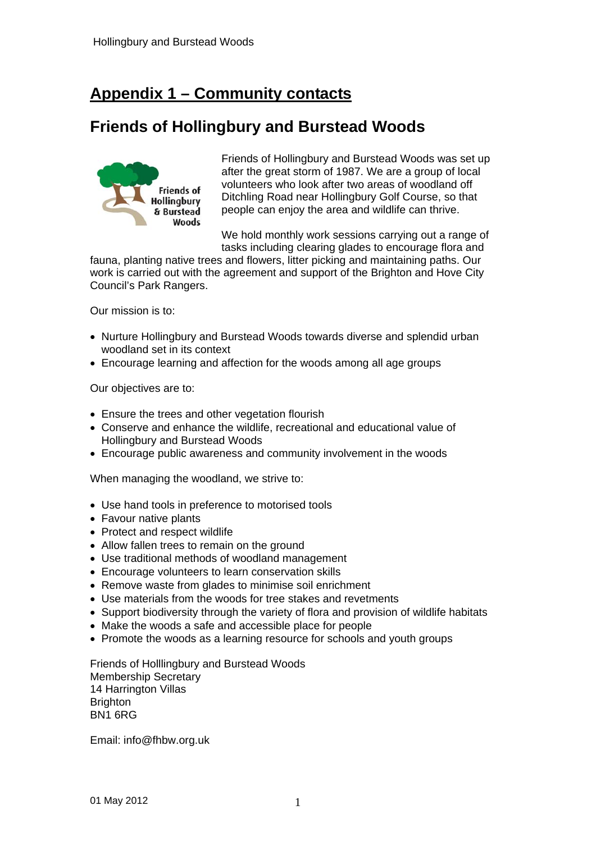# **Appendix 1 – Community contacts**

## **Friends of Hollingbury and Burstead Woods**



Friends of Hollingbury and Burstead Woods was set up after the great storm of 1987. We are a group of local volunteers who look after two areas of woodland off Ditchling Road near Hollingbury Golf Course, so that people can enjoy the area and wildlife can thrive.

We hold monthly work sessions carrying out a range of tasks including clearing glades to encourage flora and

fauna, planting native trees and flowers, litter picking and maintaining paths. Our work is carried out with the agreement and support of the Brighton and Hove City Council's Park Rangers.

Our mission is to:

- Nurture Hollingbury and Burstead Woods towards diverse and splendid urban woodland set in its context
- Encourage learning and affection for the woods among all age groups

Our objectives are to:

- Ensure the trees and other vegetation flourish
- Conserve and enhance the wildlife, recreational and educational value of Hollingbury and Burstead Woods
- Encourage public awareness and community involvement in the woods

When managing the woodland, we strive to:

- Use hand tools in preference to motorised tools
- Favour native plants
- Protect and respect wildlife
- Allow fallen trees to remain on the ground
- Use traditional methods of woodland management
- Encourage volunteers to learn conservation skills
- Remove waste from glades to minimise soil enrichment
- Use materials from the woods for tree stakes and revetments
- Support biodiversity through the variety of flora and provision of wildlife habitats
- Make the woods a safe and accessible place for people
- Promote the woods as a learning resource for schools and youth groups

Friends of Holllingbury and Burstead Woods Membership Secretary 14 Harrington Villas **Brighton** BN1 6RG

Email: info@fhbw.org.uk